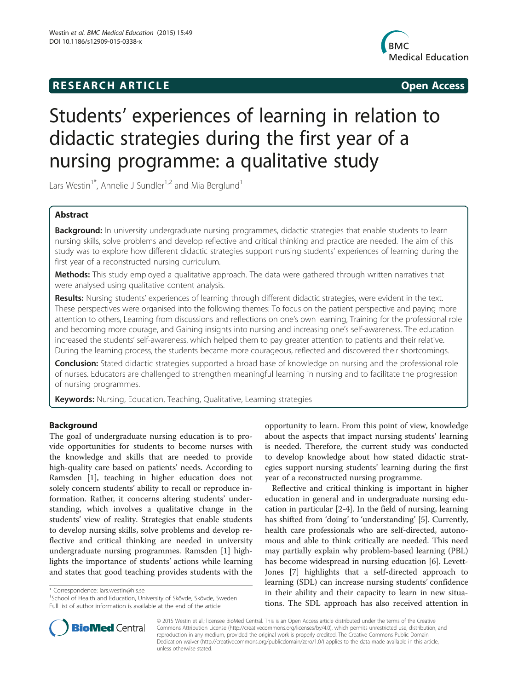# **RESEARCH ARTICLE Example 2014 CONSIDERING CONSIDERING CONSIDERING CONSIDERING CONSIDERING CONSIDERING CONSIDERING CONSIDERING CONSIDERING CONSIDERING CONSIDERING CONSIDERING CONSIDERING CONSIDERING CONSIDERING CONSIDE**



# Students' experiences of learning in relation to didactic strategies during the first year of a nursing programme: a qualitative study

Lars Westin<sup>1\*</sup>, Annelie J Sundler<sup>1,2</sup> and Mia Berglund<sup>1</sup>

# Abstract

Background: In university undergraduate nursing programmes, didactic strategies that enable students to learn nursing skills, solve problems and develop reflective and critical thinking and practice are needed. The aim of this study was to explore how different didactic strategies support nursing students' experiences of learning during the first year of a reconstructed nursing curriculum.

Methods: This study employed a qualitative approach. The data were gathered through written narratives that were analysed using qualitative content analysis.

Results: Nursing students' experiences of learning through different didactic strategies, were evident in the text. These perspectives were organised into the following themes: To focus on the patient perspective and paying more attention to others, Learning from discussions and reflections on one's own learning, Training for the professional role and becoming more courage, and Gaining insights into nursing and increasing one's self-awareness. The education increased the students' self-awareness, which helped them to pay greater attention to patients and their relative. During the learning process, the students became more courageous, reflected and discovered their shortcomings.

**Conclusion:** Stated didactic strategies supported a broad base of knowledge on nursing and the professional role of nurses. Educators are challenged to strengthen meaningful learning in nursing and to facilitate the progression of nursing programmes.

Keywords: Nursing, Education, Teaching, Qualitative, Learning strategies

# Background

The goal of undergraduate nursing education is to provide opportunities for students to become nurses with the knowledge and skills that are needed to provide high-quality care based on patients' needs. According to Ramsden [\[1](#page-6-0)], teaching in higher education does not solely concern students' ability to recall or reproduce information. Rather, it concerns altering students' understanding, which involves a qualitative change in the students' view of reality. Strategies that enable students to develop nursing skills, solve problems and develop reflective and critical thinking are needed in university undergraduate nursing programmes. Ramsden [[1\]](#page-6-0) highlights the importance of students' actions while learning and states that good teaching provides students with the

\* Correspondence: [lars.westin@his.se](mailto:lars.westin@his.se) <sup>1</sup>

<sup>1</sup>School of Health and Education, University of Skövde, Skövde, Sweden Full list of author information is available at the end of the article



Reflective and critical thinking is important in higher education in general and in undergraduate nursing education in particular [[2-4](#page-6-0)]. In the field of nursing, learning has shifted from 'doing' to 'understanding' [\[5\]](#page-6-0). Currently, health care professionals who are self-directed, autonomous and able to think critically are needed. This need may partially explain why problem-based learning (PBL) has become widespread in nursing education [[6\]](#page-6-0). Levett-Jones [[7\]](#page-6-0) highlights that a self-directed approach to learning (SDL) can increase nursing students' confidence in their ability and their capacity to learn in new situations. The SDL approach has also received attention in



© 2015 Westin et al.; licensee BioMed Central. This is an Open Access article distributed under the terms of the Creative Commons Attribution License [\(http://creativecommons.org/licenses/by/4.0\)](http://creativecommons.org/licenses/by/4.0), which permits unrestricted use, distribution, and reproduction in any medium, provided the original work is properly credited. The Creative Commons Public Domain Dedication waiver [\(http://creativecommons.org/publicdomain/zero/1.0/](http://creativecommons.org/publicdomain/zero/1.0/)) applies to the data made available in this article, unless otherwise stated.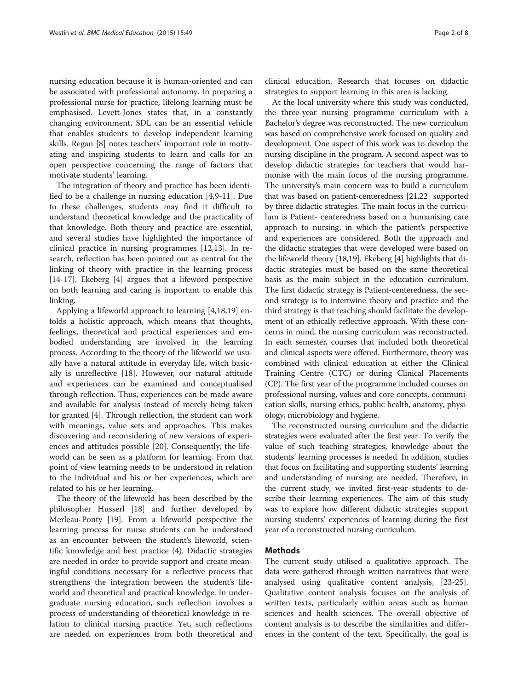nursing education because it is human-oriented and can be associated with professional autonomy. In preparing a professional nurse for practice, lifelong learning must be emphasised. Levett-Jones states that, in a constantly changing environment, SDL can be an essential vehicle that enables students to develop independent learning skills. Regan [[8\]](#page-6-0) notes teachers' important role in motivating and inspiring students to learn and calls for an open perspective concerning the range of factors that motivate students' learning.

The integration of theory and practice has been identified to be a challenge in nursing education [[4,9-11](#page-6-0)]. Due to these challenges, students may find it difficult to understand theoretical knowledge and the practicality of that knowledge. Both theory and practice are essential, and several studies have highlighted the importance of clinical practice in nursing programmes [[12,13\]](#page-6-0). In research, reflection has been pointed out as central for the linking of theory with practice in the learning process [[14-17](#page-6-0)]. Ekeberg [[4](#page-6-0)] argues that a lifeword perspective on both learning and caring is important to enable this linking.

Applying a lifeworld approach to learning [\[4,18,19\]](#page-6-0) enfolds a holistic approach, which means that thoughts, feelings, theoretical and practical experiences and embodied understanding are involved in the learning process. According to the theory of the lifeworld we usually have a natural attitude in everyday life, witch basically is unreflective [[18\]](#page-6-0). However, our natural attitude and experiences can be examined and conceptualised through reflection. Thus, experiences can be made aware and available for analysis instead of merely being taken for granted [\[4](#page-6-0)]. Through reflection, the student can work with meanings, value sets and approaches. This makes discovering and reconsidering of new versions of experiences and attitudes possible [\[20](#page-6-0)]. Consequently, the lifeworld can be seen as a platform for learning. From that point of view learning needs to be understood in relation to the individual and his or her experiences, which are related to his or her learning.

The theory of the lifeworld has been described by the philosopher Husserl [[18\]](#page-6-0) and further developed by Merleau-Ponty [\[19](#page-6-0)]. From a lifeworld perspective the learning process for nurse students can be understood as an encounter between the student's lifeworld, scientific knowledge and best practice (4). Didactic strategies are needed in order to provide support and create meaningful conditions necessary for a reflective process that strengthens the integration between the student's lifeworld and theoretical and practical knowledge. In undergraduate nursing education, such reflection involves a process of understanding of theoretical knowledge in relation to clinical nursing practice. Yet, such reflections are needed on experiences from both theoretical and

clinical education. Research that focuses on didactic strategies to support learning in this area is lacking.

At the local university where this study was conducted, the three-year nursing programme curriculum with a Bachelor's degree was reconstructed. The new curriculum was based on comprehensive work focused on quality and development. One aspect of this work was to develop the nursing discipline in the program. A second aspect was to develop didactic strategies for teachers that would harmonise with the main focus of the nursing programme. The university's main concern was to build a curriculum that was based on patient-centeredness [\[21,22\]](#page-6-0) supported by three didactic strategies. The main focus in the curriculum is Patient- centeredness based on a humanising care approach to nursing, in which the patient's perspective and experiences are considered. Both the approach and the didactic strategies that were developed were based on the lifeworld theory [\[18,19\]](#page-6-0). Ekeberg [\[4](#page-6-0)] highlights that didactic strategies must be based on the same theoretical basis as the main subject in the education curriculum. The first didactic strategy is Patient-centeredness, the second strategy is to intertwine theory and practice and the third strategy is that teaching should facilitate the development of an ethically reflective approach. With these concerns in mind, the nursing curriculum was reconstructed. In each semester, courses that included both theoretical and clinical aspects were offered. Furthermore, theory was combined with clinical education at either the Clinical Training Centre (CTC) or during Clinical Placements (CP). The first year of the programme included courses on professional nursing, values and core concepts, communication skills, nursing ethics, public health, anatomy, physiology, microbiology and hygiene.

The reconstructed nursing curriculum and the didactic strategies were evaluated after the first year. To verify the value of such teaching strategies, knowledge about the students' learning processes is needed. In addition, studies that focus on facilitating and supporting students' learning and understanding of nursing are needed. Therefore, in the current study, we invited first-year students to describe their learning experiences. The aim of this study was to explore how different didactic strategies support nursing students' experiences of learning during the first year of a reconstructed nursing curriculum.

#### Methods

The current study utilised a qualitative approach. The data were gathered through written narratives that were analysed using qualitative content analysis, [\[23-25](#page-6-0)]. Qualitative content analysis focuses on the analysis of written texts, particularly within areas such as human sciences and health sciences. The overall objective of content analysis is to describe the similarities and differences in the content of the text. Specifically, the goal is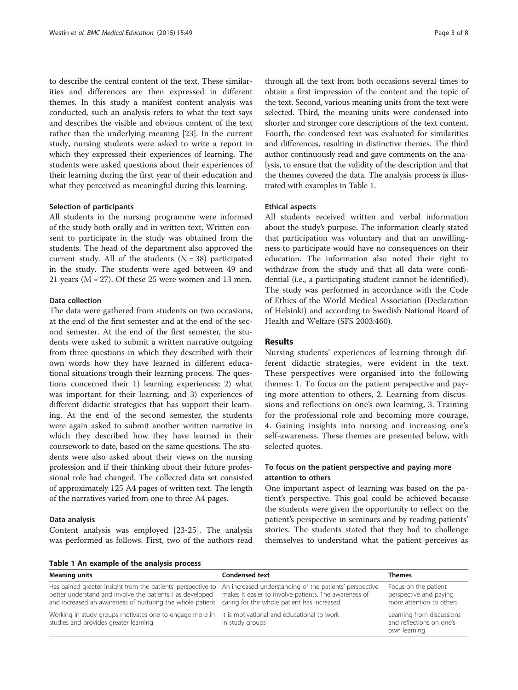to describe the central content of the text. These similarities and differences are then expressed in different themes. In this study a manifest content analysis was conducted, such an analysis refers to what the text says and describes the visible and obvious content of the text rather than the underlying meaning [[23\]](#page-6-0). In the current study, nursing students were asked to write a report in which they expressed their experiences of learning. The students were asked questions about their experiences of their learning during the first year of their education and what they perceived as meaningful during this learning.

#### Selection of participants

All students in the nursing programme were informed of the study both orally and in written text. Written consent to participate in the study was obtained from the students. The head of the department also approved the current study. All of the students  $(N = 38)$  participated in the study. The students were aged between 49 and 21 years ( $M = 27$ ). Of these 25 were women and 13 men.

#### Data collection

The data were gathered from students on two occasions, at the end of the first semester and at the end of the second semester. At the end of the first semester, the students were asked to submit a written narrative outgoing from three questions in which they described with their own words how they have learned in different educational situations trough their learning process. The questions concerned their 1) learning experiences; 2) what was important for their learning; and 3) experiences of different didactic strategies that has support their learning. At the end of the second semester, the students were again asked to submit another written narrative in which they described how they have learned in their coursework to date, based on the same questions. The students were also asked about their views on the nursing profession and if their thinking about their future professional role had changed. The collected data set consisted of approximately 125 A4 pages of written text. The length of the narratives varied from one to three A4 pages.

#### Data analysis

Content analysis was employed [[23-25\]](#page-6-0). The analysis was performed as follows. First, two of the authors read

through all the text from both occasions several times to obtain a first impression of the content and the topic of the text. Second, various meaning units from the text were selected. Third, the meaning units were condensed into shorter and stronger core descriptions of the text content. Fourth, the condensed text was evaluated for similarities and differences, resulting in distinctive themes. The third author continuously read and gave comments on the analysis, to ensure that the validity of the description and that the themes covered the data. The analysis process is illustrated with examples in Table 1.

#### Ethical aspects

All students received written and verbal information about the study's purpose. The information clearly stated that participation was voluntary and that an unwillingness to participate would have no consequences on their education. The information also noted their right to withdraw from the study and that all data were confidential (i.e., a participating student cannot be identified). The study was performed in accordance with the Code of Ethics of the World Medical Association (Declaration of Helsinki) and according to Swedish National Board of Health and Welfare (SFS 2003:460).

# Results

Nursing students' experiences of learning through different didactic strategies, were evident in the text. These perspectives were organised into the following themes: 1. To focus on the patient perspective and paying more attention to others, 2. Learning from discussions and reflections on one's own learning, 3. Training for the professional role and becoming more courage, 4. Gaining insights into nursing and increasing one's self-awareness. These themes are presented below, with selected quotes.

# To focus on the patient perspective and paying more attention to others

One important aspect of learning was based on the patient's perspective. This goal could be achieved because the students were given the opportunity to reflect on the patient's perspective in seminars and by reading patients' stories. The students stated that they had to challenge themselves to understand what the patient perceives as

Table 1 An example of the analysis process

| <b>Meaning units</b>                                                                                                                                                                  | <b>Condensed text</b>                                                                                                                                          | <b>Themes</b>                                                              |
|---------------------------------------------------------------------------------------------------------------------------------------------------------------------------------------|----------------------------------------------------------------------------------------------------------------------------------------------------------------|----------------------------------------------------------------------------|
| Has gained greater insight from the patients' perspective to<br>better understand and involve the patients Has developed<br>and increased an awareness of nurturing the whole patient | An increased understanding of the patients' perspective<br>makes it easier to involve patients. The awareness of<br>caring for the whole patient has increased | Focus on the patient<br>perspective and paying<br>more attention to others |
| Working in study groups motivates one to engage more in<br>studies and provides greater learning                                                                                      | It is motivational and educational to work<br>in study groups                                                                                                  | Learning from discussions<br>and reflections on one's<br>own learning      |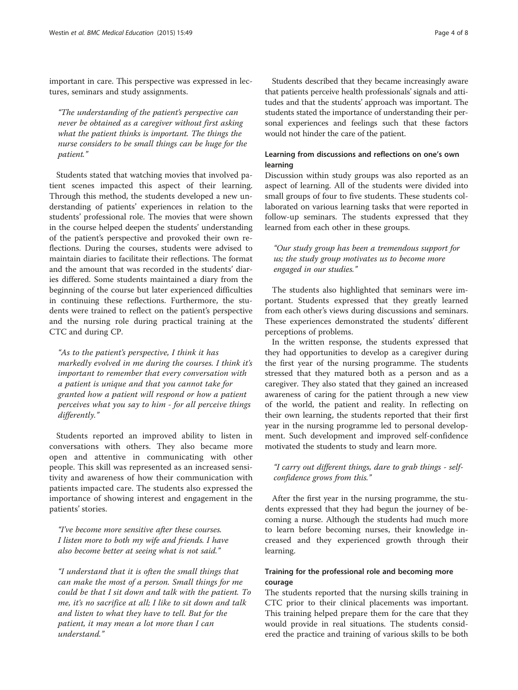important in care. This perspective was expressed in lectures, seminars and study assignments.

"The understanding of the patient's perspective can never be obtained as a caregiver without first asking what the patient thinks is important. The things the nurse considers to be small things can be huge for the patient."

Students stated that watching movies that involved patient scenes impacted this aspect of their learning. Through this method, the students developed a new understanding of patients' experiences in relation to the students' professional role. The movies that were shown in the course helped deepen the students' understanding of the patient's perspective and provoked their own reflections. During the courses, students were advised to maintain diaries to facilitate their reflections. The format and the amount that was recorded in the students' diaries differed. Some students maintained a diary from the beginning of the course but later experienced difficulties in continuing these reflections. Furthermore, the students were trained to reflect on the patient's perspective and the nursing role during practical training at the CTC and during CP.

"As to the patient's perspective, I think it has markedly evolved in me during the courses. I think it's important to remember that every conversation with a patient is unique and that you cannot take for granted how a patient will respond or how a patient perceives what you say to him - for all perceive things differently."

Students reported an improved ability to listen in conversations with others. They also became more open and attentive in communicating with other people. This skill was represented as an increased sensitivity and awareness of how their communication with patients impacted care. The students also expressed the importance of showing interest and engagement in the patients' stories.

"I've become more sensitive after these courses. I listen more to both my wife and friends. I have also become better at seeing what is not said."

"I understand that it is often the small things that can make the most of a person. Small things for me could be that I sit down and talk with the patient. To me, it's no sacrifice at all; I like to sit down and talk and listen to what they have to tell. But for the patient, it may mean a lot more than I can understand."

Students described that they became increasingly aware that patients perceive health professionals' signals and attitudes and that the students' approach was important. The students stated the importance of understanding their personal experiences and feelings such that these factors would not hinder the care of the patient.

# Learning from discussions and reflections on one's own learning

Discussion within study groups was also reported as an aspect of learning. All of the students were divided into small groups of four to five students. These students collaborated on various learning tasks that were reported in follow-up seminars. The students expressed that they learned from each other in these groups.

"Our study group has been a tremendous support for us; the study group motivates us to become more engaged in our studies."

The students also highlighted that seminars were important. Students expressed that they greatly learned from each other's views during discussions and seminars. These experiences demonstrated the students' different perceptions of problems.

In the written response, the students expressed that they had opportunities to develop as a caregiver during the first year of the nursing programme. The students stressed that they matured both as a person and as a caregiver. They also stated that they gained an increased awareness of caring for the patient through a new view of the world, the patient and reality. In reflecting on their own learning, the students reported that their first year in the nursing programme led to personal development. Such development and improved self-confidence motivated the students to study and learn more.

"I carry out different things, dare to grab things - selfconfidence grows from this."

After the first year in the nursing programme, the students expressed that they had begun the journey of becoming a nurse. Although the students had much more to learn before becoming nurses, their knowledge increased and they experienced growth through their learning.

# Training for the professional role and becoming more courage

The students reported that the nursing skills training in CTC prior to their clinical placements was important. This training helped prepare them for the care that they would provide in real situations. The students considered the practice and training of various skills to be both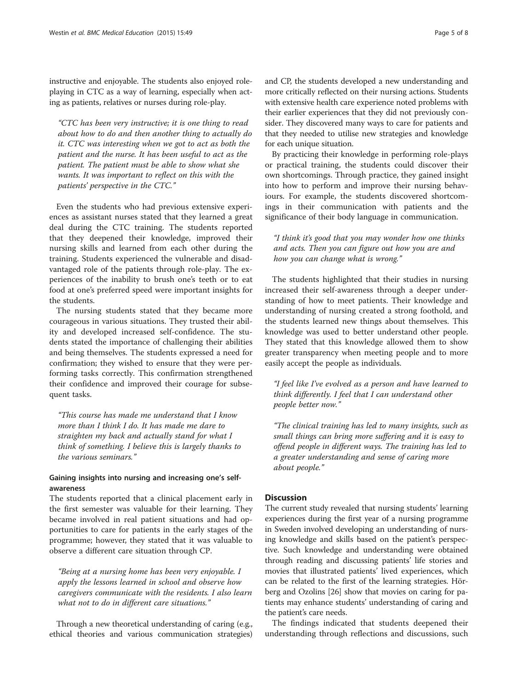instructive and enjoyable. The students also enjoyed roleplaying in CTC as a way of learning, especially when acting as patients, relatives or nurses during role-play.

"CTC has been very instructive; it is one thing to read about how to do and then another thing to actually do it. CTC was interesting when we got to act as both the patient and the nurse. It has been useful to act as the patient. The patient must be able to show what she wants. It was important to reflect on this with the patients' perspective in the CTC."

Even the students who had previous extensive experiences as assistant nurses stated that they learned a great deal during the CTC training. The students reported that they deepened their knowledge, improved their nursing skills and learned from each other during the training. Students experienced the vulnerable and disadvantaged role of the patients through role-play. The experiences of the inability to brush one's teeth or to eat food at one's preferred speed were important insights for the students.

The nursing students stated that they became more courageous in various situations. They trusted their ability and developed increased self-confidence. The students stated the importance of challenging their abilities and being themselves. The students expressed a need for confirmation; they wished to ensure that they were performing tasks correctly. This confirmation strengthened their confidence and improved their courage for subsequent tasks.

"This course has made me understand that I know more than I think I do. It has made me dare to straighten my back and actually stand for what I think of something. I believe this is largely thanks to the various seminars."

# Gaining insights into nursing and increasing one's selfawareness

The students reported that a clinical placement early in the first semester was valuable for their learning. They became involved in real patient situations and had opportunities to care for patients in the early stages of the programme; however, they stated that it was valuable to observe a different care situation through CP.

"Being at a nursing home has been very enjoyable. I apply the lessons learned in school and observe how caregivers communicate with the residents. I also learn what not to do in different care situations."

Through a new theoretical understanding of caring (e.g., ethical theories and various communication strategies)

and CP, the students developed a new understanding and more critically reflected on their nursing actions. Students with extensive health care experience noted problems with their earlier experiences that they did not previously consider. They discovered many ways to care for patients and that they needed to utilise new strategies and knowledge for each unique situation.

By practicing their knowledge in performing role-plays or practical training, the students could discover their own shortcomings. Through practice, they gained insight into how to perform and improve their nursing behaviours. For example, the students discovered shortcomings in their communication with patients and the significance of their body language in communication.

"I think it's good that you may wonder how one thinks and acts. Then you can figure out how you are and how you can change what is wrong."

The students highlighted that their studies in nursing increased their self-awareness through a deeper understanding of how to meet patients. Their knowledge and understanding of nursing created a strong foothold, and the students learned new things about themselves. This knowledge was used to better understand other people. They stated that this knowledge allowed them to show greater transparency when meeting people and to more easily accept the people as individuals.

"I feel like I've evolved as a person and have learned to think differently. I feel that I can understand other people better now."

"The clinical training has led to many insights, such as small things can bring more suffering and it is easy to offend people in different ways. The training has led to a greater understanding and sense of caring more about people."

# Discussion

The current study revealed that nursing students' learning experiences during the first year of a nursing programme in Sweden involved developing an understanding of nursing knowledge and skills based on the patient's perspective. Such knowledge and understanding were obtained through reading and discussing patients' life stories and movies that illustrated patients' lived experiences, which can be related to the first of the learning strategies. Hörberg and Ozolins [\[26\]](#page-6-0) show that movies on caring for patients may enhance students' understanding of caring and the patient's care needs.

The findings indicated that students deepened their understanding through reflections and discussions, such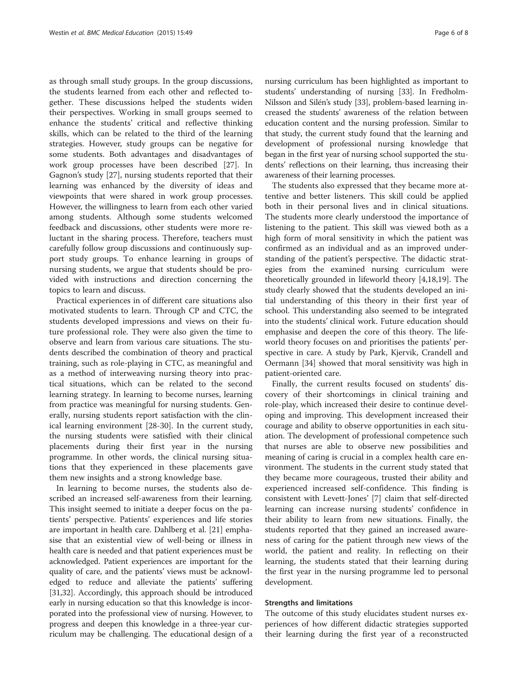as through small study groups. In the group discussions, the students learned from each other and reflected together. These discussions helped the students widen their perspectives. Working in small groups seemed to enhance the students' critical and reflective thinking skills, which can be related to the third of the learning strategies. However, study groups can be negative for some students. Both advantages and disadvantages of work group processes have been described [[27\]](#page-6-0). In Gagnon's study [\[27\]](#page-6-0), nursing students reported that their learning was enhanced by the diversity of ideas and viewpoints that were shared in work group processes. However, the willingness to learn from each other varied among students. Although some students welcomed feedback and discussions, other students were more reluctant in the sharing process. Therefore, teachers must carefully follow group discussions and continuously support study groups. To enhance learning in groups of nursing students, we argue that students should be provided with instructions and direction concerning the topics to learn and discuss.

Practical experiences in of different care situations also motivated students to learn. Through CP and CTC, the students developed impressions and views on their future professional role. They were also given the time to observe and learn from various care situations. The students described the combination of theory and practical training, such as role-playing in CTC, as meaningful and as a method of interweaving nursing theory into practical situations, which can be related to the second learning strategy. In learning to become nurses, learning from practice was meaningful for nursing students. Generally, nursing students report satisfaction with the clinical learning environment [[28-](#page-6-0)[30\]](#page-7-0). In the current study, the nursing students were satisfied with their clinical placements during their first year in the nursing programme. In other words, the clinical nursing situations that they experienced in these placements gave them new insights and a strong knowledge base.

In learning to become nurses, the students also described an increased self-awareness from their learning. This insight seemed to initiate a deeper focus on the patients' perspective. Patients' experiences and life stories are important in health care. Dahlberg et al. [\[21](#page-6-0)] emphasise that an existential view of well-being or illness in health care is needed and that patient experiences must be acknowledged. Patient experiences are important for the quality of care, and the patients' views must be acknowledged to reduce and alleviate the patients' suffering [[31,32](#page-7-0)]. Accordingly, this approach should be introduced early in nursing education so that this knowledge is incorporated into the professional view of nursing. However, to progress and deepen this knowledge in a three-year curriculum may be challenging. The educational design of a

nursing curriculum has been highlighted as important to students' understanding of nursing [[33](#page-7-0)]. In Fredholm-Nilsson and Silén's study [\[33\]](#page-7-0), problem-based learning increased the students' awareness of the relation between education content and the nursing profession. Similar to that study, the current study found that the learning and development of professional nursing knowledge that began in the first year of nursing school supported the students' reflections on their learning, thus increasing their awareness of their learning processes.

The students also expressed that they became more attentive and better listeners. This skill could be applied both in their personal lives and in clinical situations. The students more clearly understood the importance of listening to the patient. This skill was viewed both as a high form of moral sensitivity in which the patient was confirmed as an individual and as an improved understanding of the patient's perspective. The didactic strategies from the examined nursing curriculum were theoretically grounded in lifeworld theory [[4,18,19\]](#page-6-0). The study clearly showed that the students developed an initial understanding of this theory in their first year of school. This understanding also seemed to be integrated into the students' clinical work. Future education should emphasise and deepen the core of this theory. The lifeworld theory focuses on and prioritises the patients' perspective in care. A study by Park, Kjervik, Crandell and Oermann [\[34](#page-7-0)] showed that moral sensitivity was high in patient-oriented care.

Finally, the current results focused on students' discovery of their shortcomings in clinical training and role-play, which increased their desire to continue developing and improving. This development increased their courage and ability to observe opportunities in each situation. The development of professional competence such that nurses are able to observe new possibilities and meaning of caring is crucial in a complex health care environment. The students in the current study stated that they became more courageous, trusted their ability and experienced increased self-confidence. This finding is consistent with Levett-Jones' [[7\]](#page-6-0) claim that self-directed learning can increase nursing students' confidence in their ability to learn from new situations. Finally, the students reported that they gained an increased awareness of caring for the patient through new views of the world, the patient and reality. In reflecting on their learning, the students stated that their learning during the first year in the nursing programme led to personal development.

#### Strengths and limitations

The outcome of this study elucidates student nurses experiences of how different didactic strategies supported their learning during the first year of a reconstructed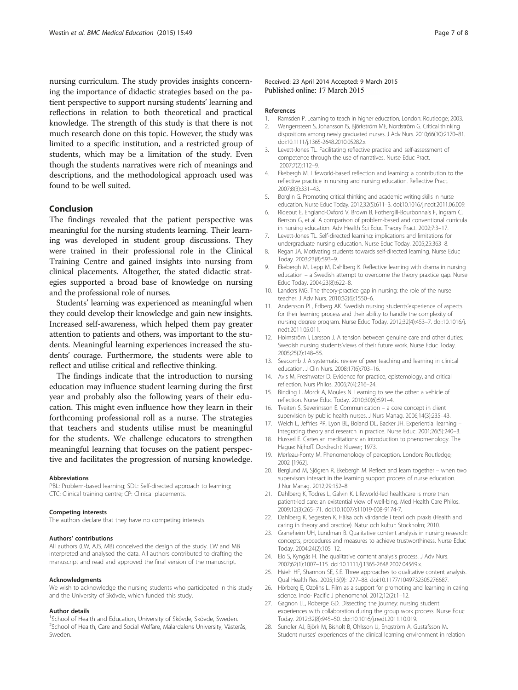<span id="page-6-0"></span>nursing curriculum. The study provides insights concerning the importance of didactic strategies based on the patient perspective to support nursing students' learning and reflections in relation to both theoretical and practical knowledge. The strength of this study is that there is not much research done on this topic. However, the study was limited to a specific institution, and a restricted group of students, which may be a limitation of the study. Even though the students narratives were rich of meanings and descriptions, and the methodological approach used was found to be well suited.

### Conclusion

The findings revealed that the patient perspective was meaningful for the nursing students learning. Their learning was developed in student group discussions. They were trained in their professional role in the Clinical Training Centre and gained insights into nursing from clinical placements. Altogether, the stated didactic strategies supported a broad base of knowledge on nursing and the professional role of nurses.

Students' learning was experienced as meaningful when they could develop their knowledge and gain new insights. Increased self-awareness, which helped them pay greater attention to patients and others, was important to the students. Meaningful learning experiences increased the students' courage. Furthermore, the students were able to reflect and utilise critical and reflective thinking.

The findings indicate that the introduction to nursing education may influence student learning during the first year and probably also the following years of their education. This might even influence how they learn in their forthcoming professional roll as a nurse. The strategies that teachers and students utilise must be meaningful for the students. We challenge educators to strengthen meaningful learning that focuses on the patient perspective and facilitates the progression of nursing knowledge.

#### Abbreviations

PBL: Problem-based learning; SDL: Self-directed approach to learning; CTC: Clinical training centre; CP: Clinical placements.

#### Competing interests

The authors declare that they have no competing interests.

#### Authors' contributions

All authors (LW, AJS, MB) conceived the design of the study. LW and MB interpreted and analysed the data. All authors contributed to drafting the manuscript and read and approved the final version of the manuscript.

#### Acknowledgments

We wish to acknowledge the nursing students who participated in this study and the University of Skövde, which funded this study.

#### Author details

<sup>1</sup>School of Health and Education, University of Skövde, Skövde, Sweden. 2 School of Health, Care and Social Welfare, Mälardalens University, Västerås, Sweden.

#### Received: 23 April 2014 Accepted: 9 March 2015 Published online: 17 March 2015

#### References

- 1. Ramsden P. Learning to teach in higher education. London: Routledge; 2003.
- 2. Wangensteen S, Johansson IS, Björkström ME, Nordström G. Critical thinking dispositions among newly graduated nurses. J Adv Nurs. 2010;66(10):2170–81. doi:10.1111/j.1365-2648.2010.05282.x.
- 3. Levett-Jones TL. Facilitating reflective practice and self-assessment of competence through the use of narratives. Nurse Educ Pract. 2007;7(2):112–9.
- 4. Ekebergh M. Lifeworld-based reflection and learning: a contribution to the reflective practice in nursing and nursing education. Reflective Pract. 2007;8(3):331–43.
- 5. Borglin G. Promoting critical thinking and academic writing skills in nurse education. Nurse Educ Today. 2012;32(5):611–3. doi:10.1016/j.nedt.2011.06.009.
- 6. Rideout E, England-Oxford V, Brown B, Fothergill-Bourbonnais F, Ingram C, Benson G, et al. A comparison of problem-based and conventional curricula in nursing education. Adv Health Sci Educ Theory Pract. 2002;7:3–17.
- 7. Levett-Jones TL. Self-directed learning: implications and limitations for undergraduate nursing education. Nurse Educ Today. 2005;25:363–8.
- 8. Regan JA. Motivating students towards self-directed learning. Nurse Educ Today. 2003;23(8):593–9.
- 9. Ekebergh M, Lepp M, Dahlberg K. Reflective learning with drama in nursing education – a Swedish attempt to overcome the theory praxtice gap. Nurse Educ Today. 2004;23(8):622–8.
- 10. Landers MG. The theory-practice gap in nursing: the role of the nurse teacher. J Adv Nurs. 2010;32(6):1550–6.
- 11. Andersson PL, Edberg AK. Swedish nursing students'experience of aspects for their learning process and their ability to handle the complexity of nursing degree program. Nurse Educ Today. 2012;32(4):453–7. doi:10.1016/j. nedt.2011.05.011.
- 12. Holmström I, Larsson J. A tension between genuine care and other duties: Swedish nursing students'views of their future work. Nurse Educ Today. 2005;25(2):148–55.
- 13. Seacomb J. A systematic review of peer teaching and learning in clinical education. J Clin Nurs. 2008;17(6):703–16.
- 14. Avis M, Freshwater D. Evidence for practice, epistemology, and critical reflection. Nurs Philos. 2006;7(4):216–24.
- 15. Binding L, Morck A, Moules N. Learning to see the other: a vehicle of reflection. Nurse Educ Today. 2010;30(6):591–4.
- 16. Tveiten S, Severinsson E. Communication a core concept in client supervision by public health nurses. J Nurs Manag. 2006;14(3):235–43.
- 17. Welch L, Jeffries PR, Lyon BL, Boland DL, Backer JH. Experiential learning Integrating theory and research in practice. Nurse Educ. 2001;26(5):240–3.
- 18. Husserl E. Cartesian meditations: an introduction to phenomenology. The Hague: Nijhoff. Dordrecht: Kluwer; 1973.
- 19. Merleau-Ponty M. Phenomenology of perception. London: Routledge; 2002 [1962].
- 20. Berglund M, Sjögren R, Ekebergh M. Reflect and learn together when two supervisors interact in the learning support process of nurse education. J Nur Manag. 2012;29:152–8.
- 21. Dahlberg K, Todres L, Galvin K. Lifeworld-led healthcare is more than patient-led care: an existential view of well-bing. Med Health Care Philos. 2009;12(3):265–71. doi:10.1007/s11019-008-9174-7.
- 22. Dahlberg K, Segesten K. Hälsa och vårdande i teori och praxis (Health and caring in theory and practice). Natur och kultur: Stockholm; 2010.
- 23. Graneheim UH, Lundman B. Qualitative content analysis in nursing research: concepts, procedures and measures to achieve trustworthiness. Nurse Educ Today. 2004;24(2):105–12.
- 24. Elo S, Kyngäs H. The qualitative content analysis process. J Adv Nurs. 2007;62(1):1007–115. doi:10.1111/j.1365-2648.2007.04569.x.
- 25. Hsieh HF, Shannon SE, S.E. Three approaches to qualitative content analysis. Qual Health Res. 2005;15(9):1277–88. doi:10.1177/1049732305276687.
- 26. Hörberg E, Ozolins L. Film as a support for promoting and learning in caring science. Indo- Pacific J phenomenol. 2012;12(2):1–12.
- 27. Gagnon LL, Roberge GD. Dissecting the journey: nursing student experiences with collaboration during the group work process. Nurse Educ Today. 2012;32(8):945–50. doi:10.1016/j.nedt.2011.10.019.
- 28. Sundler AJ, Björk M, Bisholt B, Ohlsson U, Engström A, Gustafsson M. Student nurses' experiences of the clinical learning environment in relation